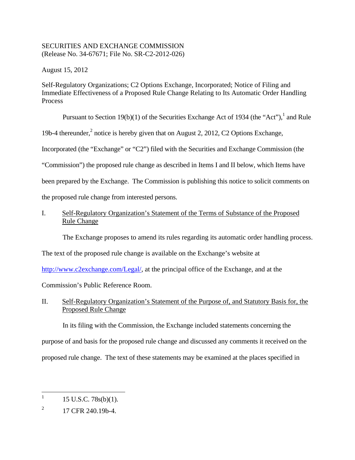## SECURITIES AND EXCHANGE COMMISSION (Release No. 34-67671; File No. SR-C2-2012-026)

August 15, 2012

Self-Regulatory Organizations; C2 Options Exchange, Incorporated; Notice of Filing and Immediate Effectiveness of a Proposed Rule Change Relating to Its Automatic Order Handling Process

Pursuant to Section 19(b)(1) of the Securities Exchange Act of 1934 (the "Act"),  $^1$  and Rule

19b-4 thereunder,<sup>2</sup> notice is hereby given that on August 2, 2012, C2 Options Exchange,

Incorporated (the "Exchange" or "C2") filed with the Securities and Exchange Commission (the

"Commission") the proposed rule change as described in Items I and II below, which Items have

been prepared by the Exchange. The Commission is publishing this notice to solicit comments on

the proposed rule change from interested persons.

## I. Self-Regulatory Organization's Statement of the Terms of Substance of the Proposed Rule Change

The Exchange proposes to amend its rules regarding its automatic order handling process.

The text of the proposed rule change is available on the Exchange's website at

http://www.c2exchange.com/Legal/, at the principal office of the Exchange, and at the

Commission's Public Reference Room.

# II. Self-Regulatory Organization's Statement of the Purpose of, and Statutory Basis for, the Proposed Rule Change

In its filing with the Commission, the Exchange included statements concerning the

purpose of and basis for the proposed rule change and discussed any comments it received on the

proposed rule change. The text of these statements may be examined at the places specified in

<sup>15</sup> U.S.C. 78s(b)(1).

 $\overline{2}$ 2 17 CFR 240.19b-4.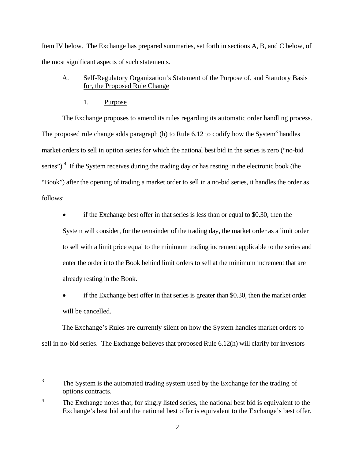Item IV below. The Exchange has prepared summaries, set forth in sections A, B, and C below, of the most significant aspects of such statements.

# A. Self-Regulatory Organization's Statement of the Purpose of, and Statutory Basis for, the Proposed Rule Change

1. Purpose

1

 market orders to sell in option series for which the national best bid in the series is zero ("no-bid The Exchange proposes to amend its rules regarding its automatic order handling process. The proposed rule change adds paragraph (h) to Rule  $6.12$  to codify how the System<sup>3</sup> handles series").<sup>4</sup> If the System receives during the trading day or has resting in the electronic book (the "Book") after the opening of trading a market order to sell in a no-bid series, it handles the order as follows:

 if the Exchange best offer in that series is less than or equal to \$0.30, then the System will consider, for the remainder of the trading day, the market order as a limit order to sell with a limit price equal to the minimum trading increment applicable to the series and enter the order into the Book behind limit orders to sell at the minimum increment that are already resting in the Book.

 if the Exchange best offer in that series is greater than \$0.30, then the market order will be cancelled.

 sell in no-bid series. The Exchange believes that proposed Rule 6.12(h) will clarify for investors The Exchange's Rules are currently silent on how the System handles market orders to

The System is the automated trading system used by the Exchange for the trading of options contracts.

 $\overline{4}$ The Exchange notes that, for singly listed series, the national best bid is equivalent to the Exchange's best bid and the national best offer is equivalent to the Exchange's best offer.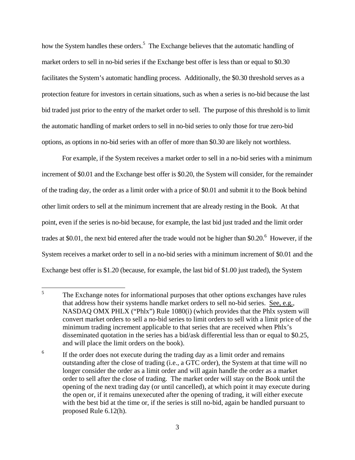how the System handles these orders.<sup>5</sup> The Exchange believes that the automatic handling of market orders to sell in no-bid series if the Exchange best offer is less than or equal to \$0.30 facilitates the System's automatic handling process. Additionally, the \$0.30 threshold serves as a protection feature for investors in certain situations, such as when a series is no-bid because the last bid traded just prior to the entry of the market order to sell. The purpose of this threshold is to limit the automatic handling of market orders to sell in no-bid series to only those for true zero-bid options, as options in no-bid series with an offer of more than \$0.30 are likely not worthless.

For example, if the System receives a market order to sell in a no-bid series with a minimum increment of \$0.01 and the Exchange best offer is \$0.20, the System will consider, for the remainder of the trading day, the order as a limit order with a price of \$0.01 and submit it to the Book behind other limit orders to sell at the minimum increment that are already resting in the Book. At that point, even if the series is no-bid because, for example, the last bid just traded and the limit order trades at \$0.01, the next bid entered after the trade would not be higher than \$0.20.<sup>6</sup> However, if the System receives a market order to sell in a no-bid series with a minimum increment of \$0.01 and the Exchange best offer is \$1.20 (because, for example, the last bid of \$1.00 just traded), the System

The Exchange notes for informational purposes that other options exchanges have rules that address how their systems handle market orders to sell no-bid series. See, e.g., NASDAQ OMX PHLX ("Phlx") Rule 1080(i) (which provides that the Phlx system will convert market orders to sell a no-bid series to limit orders to sell with a limit price of the minimum trading increment applicable to that series that are received when Phlx's disseminated quotation in the series has a bid/ask differential less than or equal to \$0.25, and will place the limit orders on the book).

 $\sqrt{6}$ If the order does not execute during the trading day as a limit order and remains outstanding after the close of trading (i.e., a GTC order), the System at that time will no longer consider the order as a limit order and will again handle the order as a market order to sell after the close of trading. The market order will stay on the Book until the opening of the next trading day (or until cancelled), at which point it may execute during the open or, if it remains unexecuted after the opening of trading, it will either execute with the best bid at the time or, if the series is still no-bid, again be handled pursuant to proposed Rule 6.12(h).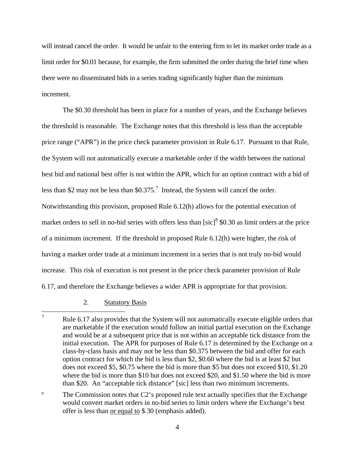will instead cancel the order. It would be unfair to the entering firm to let its market order trade as a limit order for \$0.01 because, for example, the firm submitted the order during the brief time when there were no disseminated bids in a series trading significantly higher than the minimum increment.

The \$0.30 threshold has been in place for a number of years, and the Exchange believes the threshold is reasonable. The Exchange notes that this threshold is less than the acceptable price range ("APR") in the price check parameter provision in Rule 6.17. Pursuant to that Rule, the System will not automatically execute a marketable order if the width between the national best bid and national best offer is not within the APR, which for an option contract with a bid of less than \$2 may not be less than  $$0.375$ .<sup>7</sup> Instead, the System will cancel the order. Notwithstanding this provision, proposed Rule 6.12(h) allows for the potential execution of market orders to sell in no-bid series with offers less than  $[sic]^8$  \$0.30 as limit orders at the price of a minimum increment. If the threshold in proposed Rule 6.12(h) were higher, the risk of having a market order trade at a minimum increment in a series that is not truly no-bid would increase. This risk of execution is not present in the price check parameter provision of Rule 6.17, and therefore the Exchange believes a wider APR is appropriate for that provision.

2. Statutory Basis

Rule 6.17 also provides that the System will not automatically execute eligible orders that are marketable if the execution would follow an initial partial execution on the Exchange and would be at a subsequent price that is not within an acceptable tick distance from the initial execution. The APR for purposes of Rule 6.17 is determined by the Exchange on a class-by-class basis and may not be less than \$0.375 between the bid and offer for each option contract for which the bid is less than \$2, \$0.60 where the bid is at least \$2 but does not exceed \$5, \$0.75 where the bid is more than \$5 but does not exceed \$10, \$1.20 where the bid is more than \$10 but does not exceed \$20, and \$1.50 where the bid is more than \$20. An "acceptable tick distance" [sic] less than two minimum increments.

 $\,$  8  $\,$ The Commission notes that  $C2$ 's proposed rule text actually specifies that the Exchange would convert market orders in no-bid series to limit orders where the Exchange's best offer is less than or equal to \$.30 (emphasis added).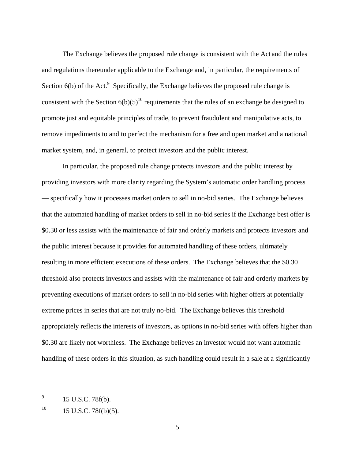The Exchange believes the proposed rule change is consistent with the Act and the rules and regulations thereunder applicable to the Exchange and, in particular, the requirements of Section  $6(b)$  of the Act.<sup>9</sup> Specifically, the Exchange believes the proposed rule change is consistent with the Section  $6(b)(5)^{10}$  requirements that the rules of an exchange be designed to promote just and equitable principles of trade, to prevent fraudulent and manipulative acts, to remove impediments to and to perfect the mechanism for a free and open market and a national market system, and, in general, to protect investors and the public interest.

In particular, the proposed rule change protects investors and the public interest by providing investors with more clarity regarding the System's automatic order handling process — specifically how it processes market orders to sell in no-bid series. The Exchange believes that the automated handling of market orders to sell in no-bid series if the Exchange best offer is \$0.30 or less assists with the maintenance of fair and orderly markets and protects investors and the public interest because it provides for automated handling of these orders, ultimately resulting in more efficient executions of these orders. The Exchange believes that the \$0.30 threshold also protects investors and assists with the maintenance of fair and orderly markets by preventing executions of market orders to sell in no-bid series with higher offers at potentially extreme prices in series that are not truly no-bid. The Exchange believes this threshold appropriately reflects the interests of investors, as options in no-bid series with offers higher than \$0.30 are likely not worthless. The Exchange believes an investor would not want automatic handling of these orders in this situation, as such handling could result in a sale at a significantly

<sup>15</sup> U.S.C. 78f(b).

 $10\,$ 15 U.S.C. 78f(b)(5).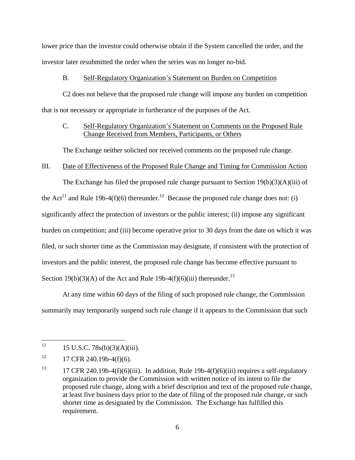lower price than the investor could otherwise obtain if the System cancelled the order, and the investor later resubmitted the order when the series was no longer no-bid.

#### B. Self-Regulatory Organization's Statement on Burden on Competition

C2 does not believe that the proposed rule change will impose any burden on competition that is not necessary or appropriate in furtherance of the purposes of the Act.

## C. Self-Regulatory Organization's Statement on Comments on the Proposed Rule Change Received from Members, Participants, or Others

The Exchange neither solicited nor received comments on the proposed rule change.

### III. Date of Effectiveness of the Proposed Rule Change and Timing for Commission Action

The Exchange has filed the proposed rule change pursuant to Section  $19(b)(3)(A)(iii)$  of the Act<sup>11</sup> and Rule 19b-4(f)(6) thereunder.<sup>12</sup> Because the proposed rule change does not: (i) significantly affect the protection of investors or the public interest; (ii) impose any significant burden on competition; and (iii) become operative prior to 30 days from the date on which it was filed, or such shorter time as the Commission may designate, if consistent with the protection of investors and the public interest, the proposed rule change has become effective pursuant to Section 19(b)(3)(A) of the Act and Rule 19b-4(f)(6)(iii) thereunder.<sup>13</sup>

At any time within 60 days of the filing of such proposed rule change, the Commission summarily may temporarily suspend such rule change if it appears to the Commission that such

1

<sup>15</sup> U.S.C.  $78s(b)(3)(A)(iii)$ .

<sup>12</sup> 17 CFR 240.19b-4(f)(6).

<sup>13</sup> 17 CFR 240.19b-4(f)(6)(iii). In addition, Rule 19b-4(f)(6)(iii) requires a self-regulatory organization to provide the Commission with written notice of its intent to file the proposed rule change, along with a brief description and text of the proposed rule change, at least five business days prior to the date of filing of the proposed rule change, or such shorter time as designated by the Commission. The Exchange has fulfilled this requirement.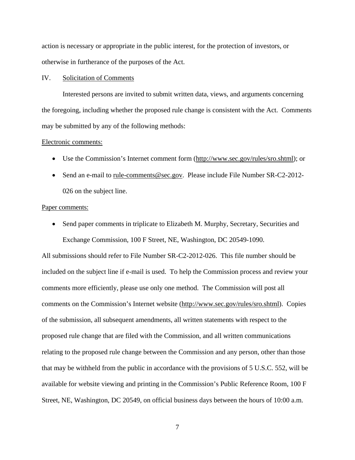action is necessary or appropriate in the public interest, for the protection of investors, or otherwise in furtherance of the purposes of the Act.

#### IV. Solicitation of Comments

Interested persons are invited to submit written data, views, and arguments concerning the foregoing, including whether the proposed rule change is consistent with the Act. Comments may be submitted by any of the following methods:

#### Electronic comments:

- Use the Commission's Internet comment form (http://www.sec.gov/rules/sro.shtml); or
- Send an e-mail to rule-comments@sec.gov. Please include File Number SR-C2-2012-026 on the subject line.

#### Paper comments:

• Send paper comments in triplicate to Elizabeth M. Murphy, Secretary, Securities and Exchange Commission, 100 F Street, NE, Washington, DC 20549-1090.

All submissions should refer to File Number SR-C2-2012-026. This file number should be included on the subject line if e-mail is used. To help the Commission process and review your comments more efficiently, please use only one method. The Commission will post all comments on the Commission's Internet website (http://www.sec.gov/rules/sro.shtml). Copies of the submission, all subsequent amendments, all written statements with respect to the proposed rule change that are filed with the Commission, and all written communications relating to the proposed rule change between the Commission and any person, other than those that may be withheld from the public in accordance with the provisions of 5 U.S.C. 552, will be available for website viewing and printing in the Commission's Public Reference Room, 100 F Street, NE, Washington, DC 20549, on official business days between the hours of 10:00 a.m.

7